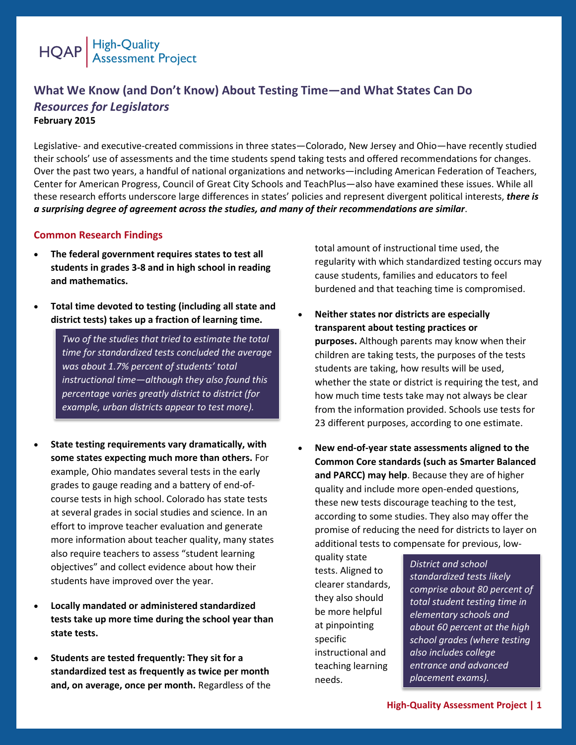

# **What We Know (and Don't Know) About Testing Time—and What States Can Do** *Resources for Legislators*

**February 2015**

Legislative- and executive-created commissions in three states—Colorado, New Jersey and Ohio—have recently studied their schools' use of assessments and the time students spend taking tests and offered recommendations for changes. Over the past two years, a handful of national organizations and networks—including American Federation of Teachers, Center for American Progress, Council of Great City Schools and TeachPlus—also have examined these issues. While all these research efforts underscore large differences in states' policies and represent divergent political interests, *there is a surprising degree of agreement across the studies, and many of their recommendations are similar*.

## **Common Research Findings**

- **The federal government requires states to test all students in grades 3-8 and in high school in reading and mathematics.**
- **Total time devoted to testing (including all state and district tests) takes up a fraction of learning time.**

*Two of the studies that tried to estimate the total time for standardized tests concluded the average was about 1.7% percent of students' total instructional time—although they also found this percentage varies greatly district to district (for example, urban districts appear to test more).* 

- **State testing requirements vary dramatically, with some states expecting much more than others.** For example, Ohio mandates several tests in the early grades to gauge reading and a battery of end-ofcourse tests in high school. Colorado has state tests at several grades in social studies and science. In an effort to improve teacher evaluation and generate more information about teacher quality, many states also require teachers to assess "student learning objectives" and collect evidence about how their students have improved over the year.
- **Locally mandated or administered standardized tests take up more time during the school year than state tests.**
- **Students are tested frequently: They sit for a standardized test as frequently as twice per month and, on average, once per month.** Regardless of the

total amount of instructional time used, the regularity with which standardized testing occurs may cause students, families and educators to feel burdened and that teaching time is compromised.

- **Neither states nor districts are especially transparent about testing practices or purposes.** Although parents may know when their children are taking tests, the purposes of the tests students are taking, how results will be used, whether the state or district is requiring the test, and how much time tests take may not always be clear from the information provided. Schools use tests for 23 different purposes, according to one estimate.
- **New end-of-year state assessments aligned to the Common Core standards (such as Smarter Balanced and PARCC) may help**. Because they are of higher quality and include more open-ended questions, these new tests discourage teaching to the test, according to some studies. They also may offer the promise of reducing the need for districts to layer on additional tests to compensate for previous, low-

quality state tests. Aligned to clearer standards, they also should be more helpful at pinpointing specific instructional and teaching learning needs.

*District and school standardized tests likely comprise about 80 percent of total student testing time in elementary schools and about 60 percent at the high school grades (where testing also includes college entrance and advanced placement exams).*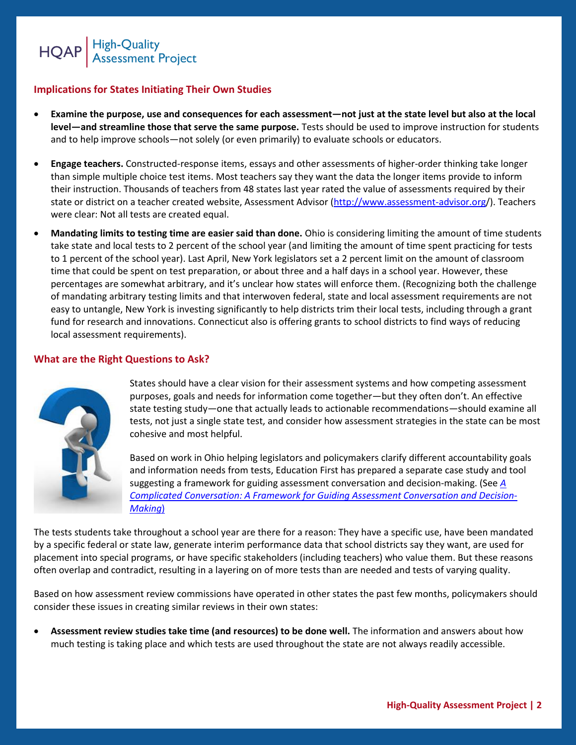

## **Implications for States Initiating Their Own Studies**

- **Examine the purpose, use and consequences for each assessment—not just at the state level but also at the local level—and streamline those that serve the same purpose.** Tests should be used to improve instruction for students and to help improve schools—not solely (or even primarily) to evaluate schools or educators.
- **Engage teachers.** Constructed-response items, essays and other assessments of higher-order thinking take longer than simple multiple choice test items. Most teachers say they want the data the longer items provide to inform their instruction. Thousands of teachers from 48 states last year rated the value of assessments required by their state or district on a teacher created website, Assessment Advisor [\(http://www.assessment-advisor.org/](http://www.assessment-advisor.org/)). Teachers were clear: Not all tests are created equal.
- **Mandating limits to testing time are easier said than done.** Ohio is considering limiting the amount of time students take state and local tests to 2 percent of the school year (and limiting the amount of time spent practicing for tests to 1 percent of the school year). Last April, New York legislators set a 2 percent limit on the amount of classroom time that could be spent on test preparation, or about three and a half days in a school year. However, these percentages are somewhat arbitrary, and it's unclear how states will enforce them. (Recognizing both the challenge of mandating arbitrary testing limits and that interwoven federal, state and local assessment requirements are not easy to untangle, New York is investing significantly to help districts trim their local tests, including through a grant fund for research and innovations. Connecticut also is offering grants to school districts to find ways of reducing local assessment requirements).

#### **What are the Right Questions to Ask?**



States should have a clear vision for their assessment systems and how competing assessment purposes, goals and needs for information come together—but they often don't. An effective state testing study—one that actually leads to actionable recommendations—should examine all tests, not just a single state test, and consider how assessment strategies in the state can be most cohesive and most helpful.

Based on work in Ohio helping legislators and policymakers clarify different accountability goals and information needs from tests, Education First has prepared a separate case study and tool suggesting a framework for guiding assessment conversation and decision-making. (See *[A](https://wiggio.com/yui/folder/stream_file.php?doc_key=JOikwVYMnHrU/fV3FZBcSOjaqKLdKkBOI76se01hOq4=)  [Complicated Conversation: A Framework for Guiding Assessment Conversation and Decision-](https://wiggio.com/yui/folder/stream_file.php?doc_key=JOikwVYMnHrU/fV3FZBcSOjaqKLdKkBOI76se01hOq4=)[Making](https://wiggio.com/yui/folder/stream_file.php?doc_key=JOikwVYMnHrU/fV3FZBcSOjaqKLdKkBOI76se01hOq4=)*)

The tests students take throughout a school year are there for a reason: They have a specific use, have been mandated by a specific federal or state law, generate interim performance data that school districts say they want, are used for placement into special programs, or have specific stakeholders (including teachers) who value them. But these reasons often overlap and contradict, resulting in a layering on of more tests than are needed and tests of varying quality.

Based on how assessment review commissions have operated in other states the past few months, policymakers should consider these issues in creating similar reviews in their own states:

 **Assessment review studies take time (and resources) to be done well.** The information and answers about how much testing is taking place and which tests are used throughout the state are not always readily accessible.